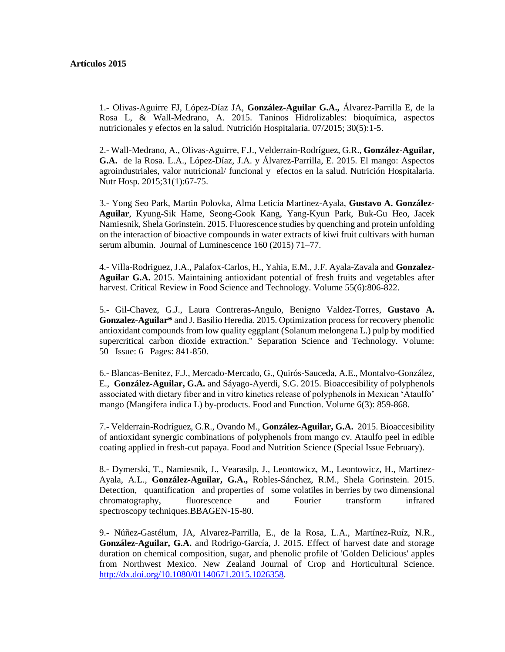## **Artículos 2015**

1.- Olivas-Aguirre FJ, López-Díaz JA, **González-Aguilar G.A.,** Álvarez-Parrilla E, de la Rosa L, & Wall-Medrano, A. 2015. Taninos Hidrolizables: bioquímica, aspectos nutricionales y efectos en la salud. Nutrición Hospitalaria. 07/2015; 30(5):1-5.

2.- Wall-Medrano, A., Olivas-Aguirre, F.J., Velderrain-Rodríguez, G.R., **González-Aguilar, G.A.** de la Rosa. L.A., López-Díaz, J.A. y Álvarez-Parrilla, E. 2015. El mango: Aspectos agroindustriales, valor nutricional/ funcional y efectos en la salud. Nutrición Hospitalaria. Nutr Hosp. 2015;31(1):67-75.

3.- Yong Seo Park, Martin Polovka, Alma Leticia Martinez-Ayala, **Gustavo A. González-Aguilar**, Kyung-Sik Hame, Seong-Gook Kang, Yang-Kyun Park, Buk-Gu Heo, Jacek Namiesnik, Shela Gorinstein. 2015. Fluorescence studies by quenching and protein unfolding on the interaction of bioactive compounds in water extracts of kiwi fruit cultivars with human serum albumin. Journal of Luminescence 160 (2015) 71–77.

4.- Villa-Rodriguez, J.A., Palafox-Carlos, H., Yahia, E.M., J.F. Ayala-Zavala and **Gonzalez-Aguilar G.A.** 2015. Maintaining antioxidant potential of fresh fruits and vegetables after harvest. Critical Review in Food Science and Technology. Volume 55(6):806-822.

5.- Gil-Chavez, G.J., Laura Contreras-Angulo, Benigno Valdez-Torres, **Gustavo A. Gonzalez-Aguilar\*** and J. Basilio Heredia. 2015. Optimization process for recovery phenolic antioxidant compounds from low quality eggplant (Solanum melongena L.) pulp by modified supercritical carbon dioxide extraction." Separation Science and Technology. Volume: 50 Issue: 6 Pages: 841-850.

6.- Blancas-Benitez, F.J., Mercado-Mercado, G., Quirós-Sauceda, A.E., Montalvo-González, E., **González-Aguilar, G.A.** and Sáyago-Ayerdi, S.G. 2015. Bioaccesibility of polyphenols associated with dietary fiber and in vitro kinetics release of polyphenols in Mexican 'Ataulfo' mango (Mangifera indica L) by-products. Food and Function. Volume 6(3): 859-868.

7.- Velderrain-Rodríguez, G.R., Ovando M., **González-Aguilar, G.A.** 2015. Bioaccesibility of antioxidant synergic combinations of polyphenols from mango cv. Ataulfo peel in edible coating applied in fresh-cut papaya. Food and Nutrition Science (Special Issue February).

8.- Dymerski, T., Namiesnik, J., Vearasilp, J., Leontowicz, M., Leontowicz, H., Martinez-Ayala, A.L., **González-Aguilar, G.A.,** Robles-Sánchez, R.M., Shela Gorinstein. 2015. Detection, quantification and properties of some volatiles in berries by two dimensional chromatography, fluorescence and Fourier transform infrared spectroscopy techniques.BBAGEN-15-80.

9.- Núñez-Gastélum, JA, Alvarez-Parrilla, E., de la Rosa, L.A., Martínez-Ruíz, N.R., **González-Aguilar, G.A.** and Rodrigo-García, J. 2015. Effect of harvest date and storage duration on chemical composition, sugar, and phenolic profile of 'Golden Delicious' apples from Northwest Mexico. New Zealand Journal of Crop and Horticultural Science. [http://dx.doi.org/10.1080/01140671.2015.1026358.](http://dx.doi.org/10.1080/01140671.2015.1026358)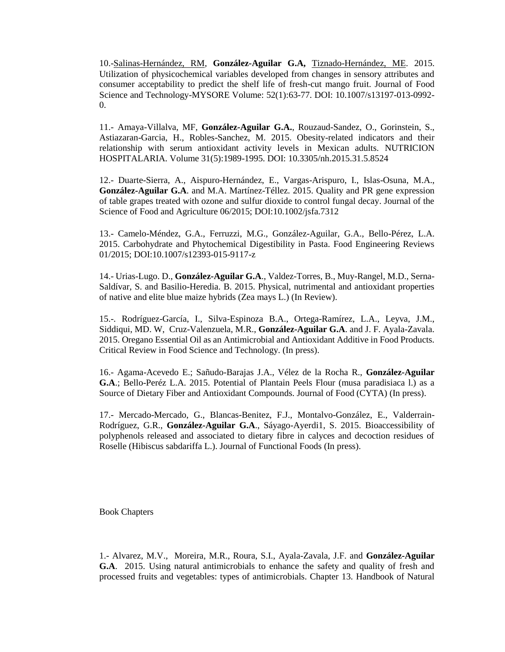10.[-Salinas-Hernández, RM,](http://apps.webofknowledge.com/OneClickSearch.do?product=UA&search_mode=OneClickSearch&excludeEventConfig=ExcludeIfFromFullRecPage&SID=1Ck9Ud4IDvvOdWXJFof&field=AU&value=Salinas-Hernandez,%20RM) **González-Aguilar G.A,** [Tiznado-Hernández, ME.](http://apps.webofknowledge.com/OneClickSearch.do?product=UA&search_mode=OneClickSearch&excludeEventConfig=ExcludeIfFromFullRecPage&SID=1Ck9Ud4IDvvOdWXJFof&field=AU&value=Tiznado-Hernandez,%20ME) 2015. Utilization of physicochemical variables developed from changes in sensory attributes and consumer acceptability to predict the shelf life of fresh-cut mango fruit. Journal of Food Science and Technology-MYSORE Volume: 52(1):63-77. DOI: 10.1007/s13197-013-0992- 0.

11.- Amaya-Villalva, MF, **González-Aguilar G.A.**, Rouzaud-Sandez, O., Gorinstein, S., Astiazaran-Garcia, H., Robles-Sanchez, M. 2015. Obesity-related indicators and their relationship with serum antioxidant activity levels in Mexican adults. NUTRICION HOSPITALARIA. Volume 31(5):1989-1995. DOI: 10.3305/nh.2015.31.5.8524

12.- Duarte-Sierra, A., Aispuro-Hernández, E., Vargas-Arispuro, I., Islas-Osuna, M.A., **González-Aguilar G.A**. and M.A. Martínez-Téllez. 2015. Quality and PR gene expression of table grapes treated with ozone and sulfur dioxide to control fungal decay. Journal of the Science of Food and Agriculture 06/2015; DOI:10.1002/jsfa.7312

13.- Camelo-Méndez, G.A., Ferruzzi, M.G., González-Aguilar, G.A., Bello-Pérez, L.A. 2015. Carbohydrate and Phytochemical Digestibility in Pasta. Food Engineering Reviews 01/2015; DOI:10.1007/s12393-015-9117-z

14.- Urias-Lugo. D., **González-Aguilar G.A**., Valdez-Torres, B., Muy-Rangel, M.D., Serna-Saldívar, S. and Basilio-Heredia. B. 2015. Physical, nutrimental and antioxidant properties of native and elite blue maize hybrids (Zea mays L.) (In Review).

15.-. Rodríguez-García, I., Silva-Espinoza B.A., Ortega-Ramírez, L.A., Leyva, J.M., Siddiqui, MD. W, Cruz-Valenzuela, M.R., **González-Aguilar G.A**. and J. F. Ayala-Zavala. 2015. Oregano Essential Oil as an Antimicrobial and Antioxidant Additive in Food Products. Critical Review in Food Science and Technology. (In press).

16.- Agama-Acevedo E.; Sañudo-Barajas J.A., Vélez de la Rocha R., **González-Aguilar G.A**.; Bello-Peréz L.A. 2015. Potential of Plantain Peels Flour (musa paradisiaca l.) as a Source of Dietary Fiber and Antioxidant Compounds. Journal of Food (CYTA) (In press).

17.- Mercado-Mercado, G., Blancas-Benitez, F.J., Montalvo-González, E., Valderrain-Rodríguez, G.R., **González-Aguilar G.A**., Sáyago-Ayerdi1, S. 2015. Bioaccessibility of polyphenols released and associated to dietary fibre in calyces and decoction residues of Roselle (Hibiscus sabdariffa L.). Journal of Functional Foods (In press).

Book Chapters

1.- Alvarez, M.V., Moreira, M.R., Roura, S.I., Ayala-Zavala, J.F. and **González-Aguilar G.A**. 2015. Using natural antimicrobials to enhance the safety and quality of fresh and processed fruits and vegetables: types of antimicrobials. Chapter 13. Handbook of Natural